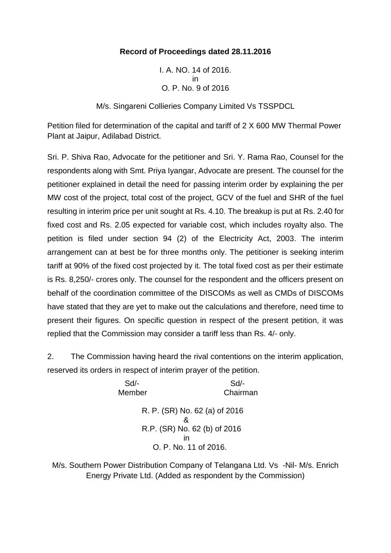## **Record of Proceedings dated 28.11.2016**

I. A. NO. 14 of 2016. in O. P. No. 9 of 2016

M/s. Singareni Collieries Company Limited Vs TSSPDCL

Petition filed for determination of the capital and tariff of 2 X 600 MW Thermal Power Plant at Jaipur, Adilabad District.

Sri. P. Shiva Rao, Advocate for the petitioner and Sri. Y. Rama Rao, Counsel for the respondents along with Smt. Priya Iyangar, Advocate are present. The counsel for the petitioner explained in detail the need for passing interim order by explaining the per MW cost of the project, total cost of the project, GCV of the fuel and SHR of the fuel resulting in interim price per unit sought at Rs. 4.10. The breakup is put at Rs. 2.40 for fixed cost and Rs. 2.05 expected for variable cost, which includes royalty also. The petition is filed under section 94 (2) of the Electricity Act, 2003. The interim arrangement can at best be for three months only. The petitioner is seeking interim tariff at 90% of the fixed cost projected by it. The total fixed cost as per their estimate is Rs. 8,250/- crores only. The counsel for the respondent and the officers present on behalf of the coordination committee of the DISCOMs as well as CMDs of DISCOMs have stated that they are yet to make out the calculations and therefore, need time to present their figures. On specific question in respect of the present petition, it was replied that the Commission may consider a tariff less than Rs. 4/- only.

2. The Commission having heard the rival contentions on the interim application, reserved its orders in respect of interim prayer of the petition.

> Sd/- Sd/- Member Chairman R. P. (SR) No. 62 (a) of 2016 & R.P. (SR) No. 62 (b) of 2016 in O. P. No. 11 of 2016.

M/s. Southern Power Distribution Company of Telangana Ltd. Vs -Nil- M/s. Enrich Energy Private Ltd. (Added as respondent by the Commission)